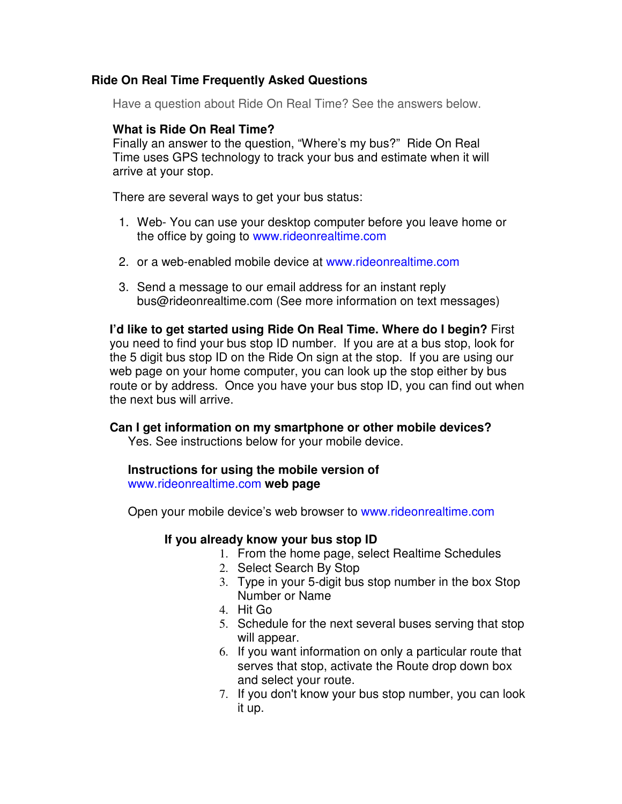## **Ride On Real Time Frequently Asked Questions**

Have a question about Ride On Real Time? See the answers below.

# **What is Ride On Real Time?**

Finally an answer to the question, "Where's my bus?" Ride On Real Time uses GPS technology to track your bus and estimate when it will arrive at your stop.

There are several ways to get your bus status:

- 1. Web- You can use your desktop computer before you leave home or the office by going to www.rideonrealtime.com
- 2. or a web-enabled mobile device at www.rideonrealtime.com
- 3. Send a message to our email address for an instant reply bus@rideonrealtime.com (See more information on text messages)

**I'd like to get started using Ride On Real Time. Where do I begin?** First you need to find your bus stop ID number. If you are at a bus stop, look for the 5 digit bus stop ID on the Ride On sign at the stop. If you are using our web page on your home computer, you can look up the stop either by bus route or by address. Once you have your bus stop ID, you can find out when the next bus will arrive.

### **Can I get information on my smartphone or other mobile devices?**

Yes. See instructions below for your mobile device.

#### **Instructions for using the mobile version of**  www.rideonrealtime.com **web page**

Open your mobile device's web browser to www.rideonrealtime.com

### **If you already know your bus stop ID**

- 1. From the home page, select Realtime Schedules
- 2. Select Search By Stop
- 3. Type in your 5-digit bus stop number in the box Stop Number or Name
- 4. Hit Go
- 5. Schedule for the next several buses serving that stop will appear.
- 6. If you want information on only a particular route that serves that stop, activate the Route drop down box and select your route.
- 7. If you don't know your bus stop number, you can look it up.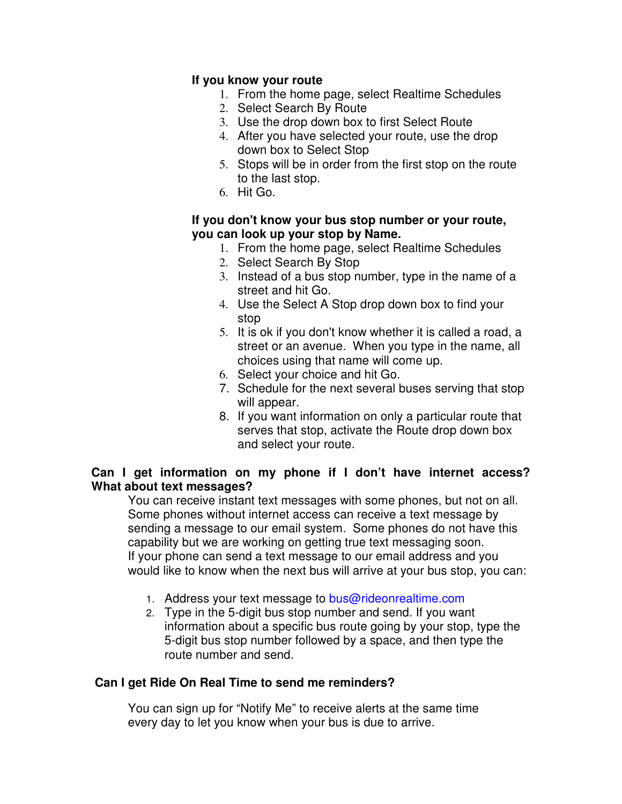## **If you know your route**

- 1. From the home page, select Realtime Schedules
- 2. Select Search By Route
- 3. Use the drop down box to first Select Route
- 4. After you have selected your route, use the drop down box to Select Stop
- 5. Stops will be in order from the first stop on the route to the last stop.
- 6. Hit Go.

### **If you don't know your bus stop number or your route, you can look up your stop by Name.**

- 1. From the home page, select Realtime Schedules
- 2. Select Search By Stop
- 3. Instead of a bus stop number, type in the name of a street and hit Go.
- 4. Use the Select A Stop drop down box to find your stop
- 5. It is ok if you don't know whether it is called a road, a street or an avenue. When you type in the name, all choices using that name will come up.
- 6. Select your choice and hit Go.
- 7. Schedule for the next several buses serving that stop will appear.
- 8. If you want information on only a particular route that serves that stop, activate the Route drop down box and select your route.

## **Can I get information on my phone if I don't have internet access? What about text messages?**

You can receive instant text messages with some phones, but not on all. Some phones without internet access can receive a text message by sending a message to our email system. Some phones do not have this capability but we are working on getting true text messaging soon. If your phone can send a text message to our email address and you would like to know when the next bus will arrive at your bus stop, you can:

- 1. Address your text message to bus@rideonrealtime.com
- 2. Type in the 5-digit bus stop number and send. If you want information about a specific bus route going by your stop, type the 5-digit bus stop number followed by a space, and then type the route number and send.

# **Can I get Ride On Real Time to send me reminders?**

You can sign up for "Notify Me" to receive alerts at the same time every day to let you know when your bus is due to arrive.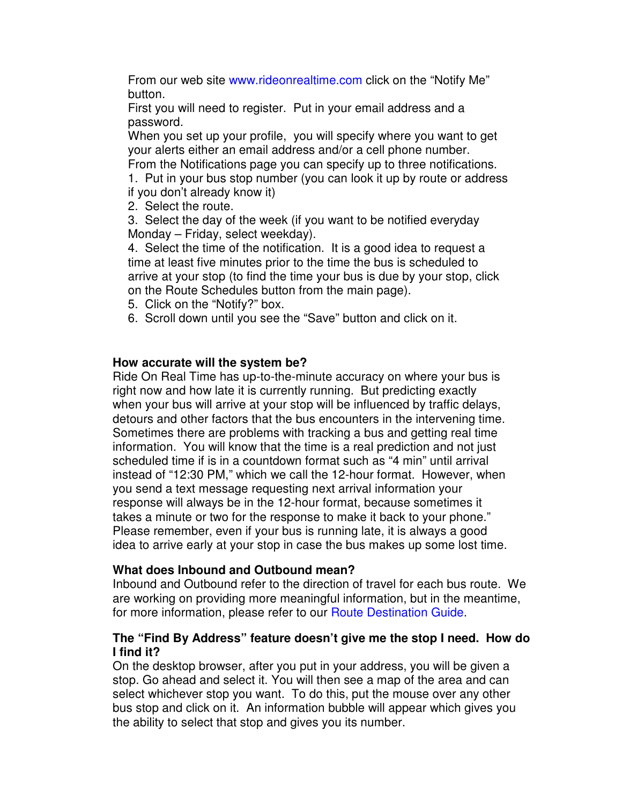From our web site www.rideonrealtime.com click on the "Notify Me" button.

First you will need to register. Put in your email address and a password.

When you set up your profile, you will specify where you want to get your alerts either an email address and/or a cell phone number.

From the Notifications page you can specify up to three notifications.

1. Put in your bus stop number (you can look it up by route or address if you don't already know it)

2. Select the route.

3. Select the day of the week (if you want to be notified everyday Monday – Friday, select weekday).

4. Select the time of the notification. It is a good idea to request a time at least five minutes prior to the time the bus is scheduled to arrive at your stop (to find the time your bus is due by your stop, click on the Route Schedules button from the main page).

- 5. Click on the "Notify?" box.
- 6. Scroll down until you see the "Save" button and click on it.

## **How accurate will the system be?**

Ride On Real Time has up-to-the-minute accuracy on where your bus is right now and how late it is currently running. But predicting exactly when your bus will arrive at your stop will be influenced by traffic delays, detours and other factors that the bus encounters in the intervening time. Sometimes there are problems with tracking a bus and getting real time information. You will know that the time is a real prediction and not just scheduled time if is in a countdown format such as "4 min" until arrival instead of "12:30 PM," which we call the 12-hour format. However, when you send a text message requesting next arrival information your response will always be in the 12-hour format, because sometimes it takes a minute or two for the response to make it back to your phone." Please remember, even if your bus is running late, it is always a good idea to arrive early at your stop in case the bus makes up some lost time.

### **What does Inbound and Outbound mean?**

Inbound and Outbound refer to the direction of travel for each bus route. We are working on providing more meaningful information, but in the meantime, for more information, please refer to our Route Destination Guide.

## **The "Find By Address" feature doesn't give me the stop I need. How do I find it?**

On the desktop browser, after you put in your address, you will be given a stop. Go ahead and select it. You will then see a map of the area and can select whichever stop you want. To do this, put the mouse over any other bus stop and click on it. An information bubble will appear which gives you the ability to select that stop and gives you its number.